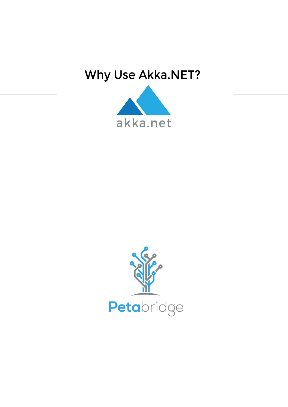# Why Use Akka.NET?



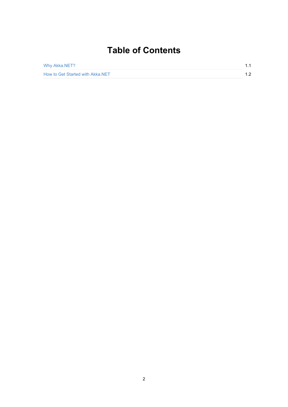# **Table of Contents**

| Why Akka.NET?                    | 11  |
|----------------------------------|-----|
| How to Get Started with Akka.NET | 1.2 |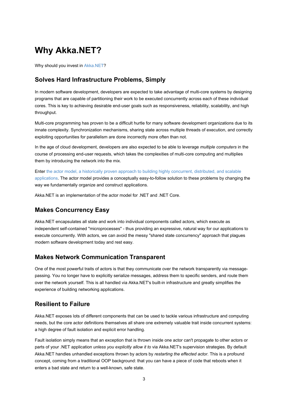# **Why Akka.NET?**

Why should you invest in Akka.NET?

#### **Solves Hard Infrastructure Problems, Simply**

In modern software devel[opment,](http://getakka.net/) developers are expected to take advantage of multi-core systems by designing programs that are capable of partitioning their work to be executed concurrently across each of these individual cores. This is key to achieving desirable end-user goals such as responsiveness, reliability, scalability, and high throughput.

Multi-core programming has proven to be a difficult hurtle for many software development organizations due to its innate complexity. Synchronization mechanisms, sharing state across multiple threads of execution, and correctly exploiting opportunities for parallelism are done incorrectly more often than not.

In the age of cloud development, developers are also expected to be able to leverage *multiple computers* in the course of processing end-user requests, which takes the complexities of multi-core computing and multiplies them by introducing the network into the mix.

Enter the actor model, a historically proven approach to building highly concurrent, distributed, and scalable applications. The actor model provides a conceptually easy-to-follow solution to these problems by changing the way we fundamentally organize and construct applications.

Akka.NET is an [implementation](https://petabridge.com/blog/akkadotnet-business-case/?utm_source=petabridge&utm_medium=ebook&utm_campaign=why-akkadotnet) of the actor model for .NET and .NET Core.

#### **Makes Concurrency Easy**

Akka.NET encapsulates all state and work into individual components called actors, which execute as independent self-contained "microprocesses" - thus providing an expressive, natural way for our applications to execute concurrently. With actors, we can avoid the messy "shared state concurrency" approach that plagues modern software development today and rest easy.

#### **Makes Network Communication Transparent**

One of the most powerful traits of actors is that they communicate over the network transparently via messagepassing. You no longer have to explicitly serialize messages, address them to specific senders, and route them over the network yourself. This is all handled via Akka.NET's built-in infrastructure and greatly simplifies the experience of building networking applications.

#### **Resilient to Failure**

Akka.NET exposes lots of different components that can be used to tackle various infrastructure and computing needs, but the core actor definitions themselves all share one extremely valuable trait inside concurrent systems: a high degree of fault isolation and explicit error handling.

Fault isolation simply means that an exception that is thrown inside one actor can't propagate to other actors or parts of your .NET application *unless you explicitly allow it to* via Akka.NET's supervision strategies. By default Akka.NET handles unhandled exceptions thrown by actors by *restarting the effected actor*. This is a profound concept, coming from a traditional OOP background: that you can have a piece of code that reboots when it enters a bad state and return to a well-known, safe state.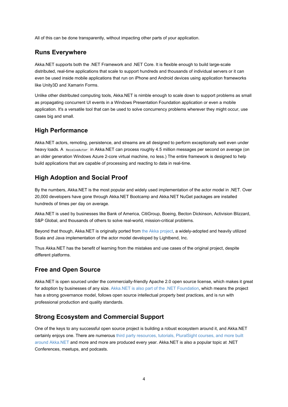All of this can be done transparently, without impacting other parts of your application.

#### **Runs Everywhere**

Akka.NET supports both the .NET Framework and .NET Core. It is flexible enough to build large-scale distributed, real-time applications that scale to support hundreds and thousands of individual servers or it can even be used inside mobile applications that run on iPhone and Android devices using application frameworks like Unity3D and Xamarin Forms.

Unlike other distributed computing tools, Akka.NET is nimble enough to scale down to support problems as small as propagating concurrent UI events in a Windows Presentation Foundation application or even a mobile application. It's a versatile tool that can be used to solve concurrency problems wherever they might occur, use cases big and small.

#### **High Performance**

Akka.NET actors, remoting, persistence, and streams are all designed to perform exceptionally well even under heavy loads. A ReceiveActor in Akka.NET can process roughly 4.5 million messages per second on average (on an older generation Windows Azure 2-core virtual machine, no less.) The entire framework is designed to help build applications that are capable of processing and reacting to data in real-time.

#### **High Adoption and Social Proof**

By the numbers, Akka.NET is the most popular and widely used implementation of the actor model in .NET. Over 20,000 developers have gone through Akka.NET Bootcamp and Akka.NET NuGet packages are installed hundreds of times per day on average.

Akka.NET is used by businesses like Bank of America, CitiGroup, Boeing, Becton Dickinson, Activision Blizzard, S&P Global, and thousands of others to solve real-world, mission-critical problems.

Beyond that though, Akka.NET is originally ported from the Akka project, a widely-adopted and heavily utilized Scala and Java implementation of the actor model developed by Lightbend, Inc.

Thus Akka.NET has the benefit of learning from the mistakes and use cases of the original project, despite different platforms.

#### **Free and Open Source**

Akka.NET is open sourced under the commercially-friendly Apache 2.0 open source license, which makes it great for adoption by businesses of any size. Akka.NET is also part of the .NET Foundation, which means the project has a strong governance model, follows open source intellectual property best practices, and is run with professional production and quality standards.

#### **Strong Ecosystem and C[ommercial](https://petabridge.com/blog/akkdotnet-dotnet-foundation/?utm_source=petabridge&utm_medium=ebook&utm_campaign=why-akkadotnet) Support**

One of the keys to any successful open source project is building a robust ecosystem around it, and Akka.NET certainly enjoys one. There are numerous third party resources, tutorials, PluralSight courses, and more built around Akka.NET and more and more are produced every year. Akka.NET is also a popular topic at .NET Conferences, meetups, and podcasts.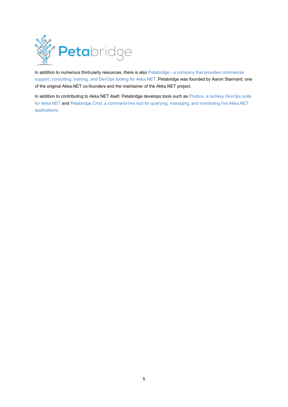

In addition to numerous third-party resources, there is also Petabridge - a company that provides commercial support, consulting, training, and DevOps tooling for Akka.NET. Petabridge was founded by Aaron Stannard, one of the original Akka.NET co-founders and the maintainer of the Akka.NET project.

In addition to contributing to Akka.NET itself, Petabridge develops tools such as Phobos, a turnkey DevOps suite for Akka.NET and [Petabridge.Cmd,](https://petabridge.com/?utm_source=petabridge&utm_medium=ebook&utm_campaign=why-akkadotnet) a command-line tool for querying, managing, and monitoring live Akka.NET applications.